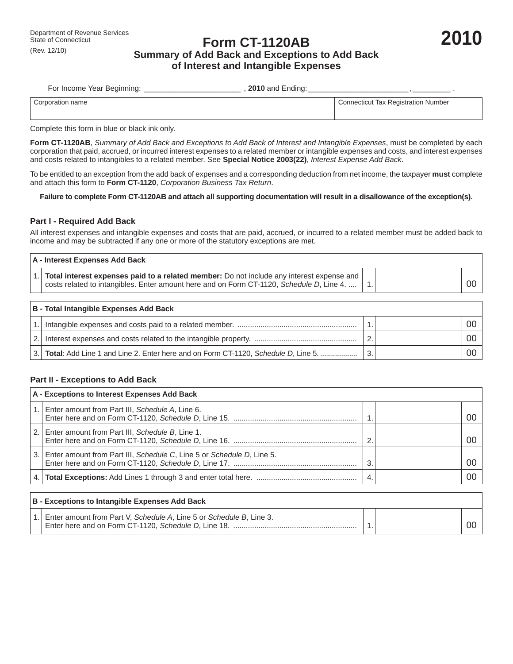# Department of Revenue Services<br>State of Connecticut<br>Channel Connecticut **2010 Summary of Add Back and Exceptions to Add Back of Interest and Intangible Expenses**

| For Income Year Beginning: | <b>2010</b> and Ending: |                                            |
|----------------------------|-------------------------|--------------------------------------------|
| Corporation name           |                         | <b>Connecticut Tax Registration Number</b> |

Complete this form in blue or black ink only.

**Form CT-1120AB**, *Summary of Add Back and Exceptions to Add Back of Interest and Intangible Expenses*, must be completed by each corporation that paid, accrued, or incurred interest expenses to a related member or intangible expenses and costs, and interest expenses and costs related to intangibles to a related member. See **Special Notice 2003(22)**, *Interest Expense Add Back*.

To be entitled to an exception from the add back of expenses and a corresponding deduction from net income, the taxpayer **must** complete and attach this form to **Form CT-1120**, *Corporation Business Tax Return*.

#### **Failure to complete Form CT-1120AB and attach all supporting documentation will result in a disallowance of the exception(s).**

### **Part I - Required Add Back**

All interest expenses and intangible expenses and costs that are paid, accrued, or incurred to a related member must be added back to income and may be subtracted if any one or more of the statutory exceptions are met.

| A - Interest Expenses Add Back |                                                                                                                                                                                       |  |  |                |
|--------------------------------|---------------------------------------------------------------------------------------------------------------------------------------------------------------------------------------|--|--|----------------|
|                                | Total interest expenses paid to a related member: Do not include any interest expense and<br>costs related to intangibles. Enter amount here and on Form CT-1120, Schedule D, Line 4. |  |  | 0 <sup>c</sup> |

| B - Total Intangible Expenses Add Back |                                                                                      |     |  |                 |
|----------------------------------------|--------------------------------------------------------------------------------------|-----|--|-----------------|
|                                        |                                                                                      |     |  | 00 <sub>1</sub> |
| 2.1                                    |                                                                                      |     |  | 00 O            |
|                                        | 3. Total: Add Line 1 and Line 2. Enter here and on Form CT-1120, Schedule D, Line 5. | -3. |  | 00 O            |

## **Part II - Exceptions to Add Back**

|     | A - Exceptions to Interest Expenses Add Back                          |     |  |     |  |  |
|-----|-----------------------------------------------------------------------|-----|--|-----|--|--|
|     | Enter amount from Part III, Schedule A, Line 6.                       |     |  | OC  |  |  |
|     | 2. Enter amount from Part III, Schedule B, Line 1.                    | っ   |  | OC. |  |  |
| 3.1 | Enter amount from Part III, Schedule C, Line 5 or Schedule D, Line 5. | 3   |  | OC  |  |  |
| 4.1 |                                                                       | -4. |  | 0C  |  |  |

| B - Exceptions to Intangible Expenses Add Back                                                                                 |  |  |
|--------------------------------------------------------------------------------------------------------------------------------|--|--|
| 1. Enter amount from Part V, Schedule A, Line 5 or Schedule B, Line 3.<br>Enter here and on Form CT-1120, Schedule D, Line 18. |  |  |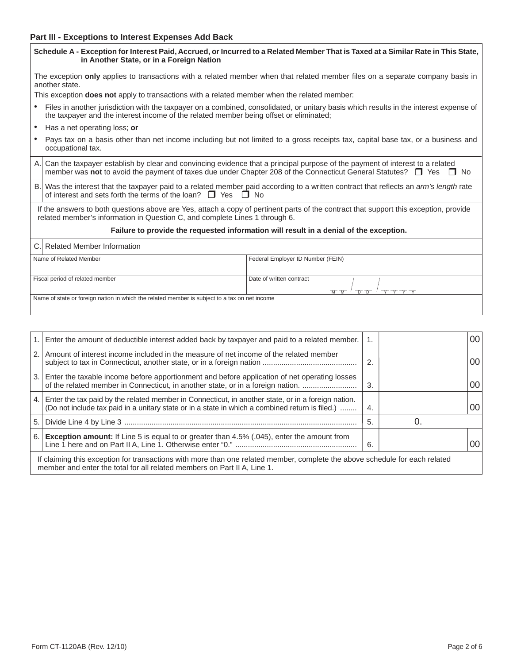## **Part III - Exceptions to Interest Expenses Add Back**

| in Another State, or in a Foreign Nation                                                            | Schedule A - Exception for Interest Paid, Accrued, or Incurred to a Related Member That is Taxed at a Similar Rate in This State,                                                                                                                                 |  |  |  |  |  |  |
|-----------------------------------------------------------------------------------------------------|-------------------------------------------------------------------------------------------------------------------------------------------------------------------------------------------------------------------------------------------------------------------|--|--|--|--|--|--|
| another state.                                                                                      | The exception only applies to transactions with a related member when that related member files on a separate company basis in                                                                                                                                    |  |  |  |  |  |  |
| This exception <b>does not</b> apply to transactions with a related member when the related member: |                                                                                                                                                                                                                                                                   |  |  |  |  |  |  |
| the taxpayer and the interest income of the related member being offset or eliminated;              | Files in another jurisdiction with the taxpayer on a combined, consolidated, or unitary basis which results in the interest expense of                                                                                                                            |  |  |  |  |  |  |
| Has a net operating loss; or                                                                        |                                                                                                                                                                                                                                                                   |  |  |  |  |  |  |
| occupational tax.                                                                                   | Pays tax on a basis other than net income including but not limited to a gross receipts tax, capital base tax, or a business and                                                                                                                                  |  |  |  |  |  |  |
| A.                                                                                                  | Can the taxpayer establish by clear and convincing evidence that a principal purpose of the payment of interest to a related<br>member was not to avoid the payment of taxes due under Chapter 208 of the Connecticut General Statutes? <b>I</b> Yes<br>$\Box$ No |  |  |  |  |  |  |
| <b>B</b> .<br>of interest and sets forth the terms of the loan? $\Box$ Yes $\Box$ No                | Was the interest that the taxpayer paid to a related member paid according to a written contract that reflects an arm's length rate                                                                                                                               |  |  |  |  |  |  |
| related member's information in Question C, and complete Lines 1 through 6.                         | If the answers to both questions above are Yes, attach a copy of pertinent parts of the contract that support this exception, provide                                                                                                                             |  |  |  |  |  |  |
|                                                                                                     | Failure to provide the requested information will result in a denial of the exception.                                                                                                                                                                            |  |  |  |  |  |  |
| <b>Related Member Information</b><br>C.                                                             |                                                                                                                                                                                                                                                                   |  |  |  |  |  |  |
| Name of Related Member                                                                              | Federal Employer ID Number (FEIN)                                                                                                                                                                                                                                 |  |  |  |  |  |  |
| Fiscal period of related member                                                                     | Date of written contract<br>$\overline{M}$ $\overline{M}$<br>$\overline{D}$<br>$\overline{\phantom{1}}$<br>$\overline{\mathsf{r}}$<br>$\overline{D}$                                                                                                              |  |  |  |  |  |  |
| Name of state or foreign nation in which the related member is subject to a tax on net income       |                                                                                                                                                                                                                                                                   |  |  |  |  |  |  |

|     | Enter the amount of deductible interest added back by taxpayer and paid to a related member.                                                                                                            | 1.  |  | 00 |  |  |
|-----|---------------------------------------------------------------------------------------------------------------------------------------------------------------------------------------------------------|-----|--|----|--|--|
|     | 2. Amount of interest income included in the measure of net income of the related member                                                                                                                | 2.  |  | 00 |  |  |
|     | 3. Enter the taxable income before apportionment and before application of net operating losses<br>of the related member in Connecticut, in another state, or in a foreign nation.                      | 3.  |  | 00 |  |  |
| 4.1 | Enter the tax paid by the related member in Connecticut, in another state, or in a foreign nation.<br>(Do not include tax paid in a unitary state or in a state in which a combined return is filed.)   | 4.  |  | 00 |  |  |
| 5.1 |                                                                                                                                                                                                         | -5. |  |    |  |  |
| 6.1 | <b>Exception amount:</b> If Line 5 is equal to or greater than 4.5% (.045), enter the amount from                                                                                                       | 6.  |  | 00 |  |  |
|     | If claiming this exception for transactions with more than one related member, complete the above schedule for each related<br>member and enter the total for all related members on Part II A, Line 1. |     |  |    |  |  |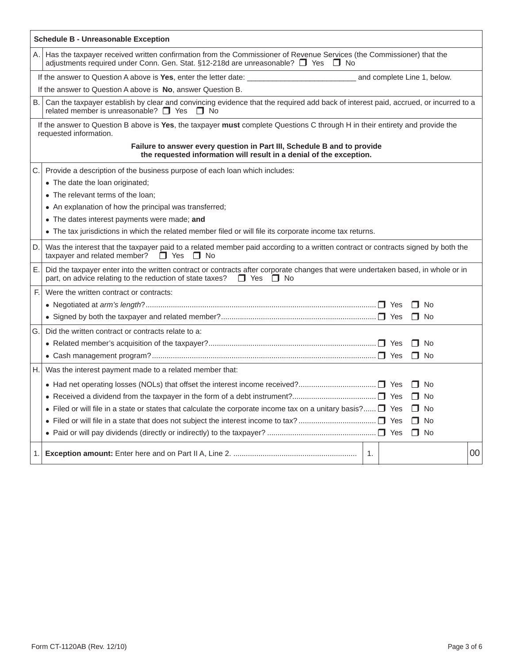|    | <b>Schedule B - Unreasonable Exception</b>                                                                                                                                                                            |  |  |  |  |  |  |
|----|-----------------------------------------------------------------------------------------------------------------------------------------------------------------------------------------------------------------------|--|--|--|--|--|--|
| А. | Has the taxpayer received written confirmation from the Commissioner of Revenue Services (the Commissioner) that the<br>adjustments required under Conn. Gen. Stat. §12-218d are unreasonable? □ Yes □ No             |  |  |  |  |  |  |
|    | If the answer to Question A above is Yes, enter the letter date: ________________<br>and complete Line 1, below.                                                                                                      |  |  |  |  |  |  |
|    | If the answer to Question A above is No, answer Question B.                                                                                                                                                           |  |  |  |  |  |  |
| В. | Can the taxpayer establish by clear and convincing evidence that the required add back of interest paid, accrued, or incurred to a<br>related member is unreasonable? $\Box$ Yes $\Box$ No                            |  |  |  |  |  |  |
|    | If the answer to Question B above is Yes, the taxpayer must complete Questions C through H in their entirety and provide the<br>requested information.                                                                |  |  |  |  |  |  |
|    | Failure to answer every question in Part III, Schedule B and to provide<br>the requested information will result in a denial of the exception.                                                                        |  |  |  |  |  |  |
| С. | Provide a description of the business purpose of each loan which includes:                                                                                                                                            |  |  |  |  |  |  |
|    | • The date the loan originated;                                                                                                                                                                                       |  |  |  |  |  |  |
|    | • The relevant terms of the loan:                                                                                                                                                                                     |  |  |  |  |  |  |
|    | • An explanation of how the principal was transferred;                                                                                                                                                                |  |  |  |  |  |  |
|    | • The dates interest payments were made; and                                                                                                                                                                          |  |  |  |  |  |  |
|    | • The tax jurisdictions in which the related member filed or will file its corporate income tax returns.                                                                                                              |  |  |  |  |  |  |
| D. | Was the interest that the taxpayer paid to a related member paid according to a written contract or contracts signed by both the<br>taxpayer and related member?<br>$\Box$ Yes<br>$\Box$ No                           |  |  |  |  |  |  |
| Ε. | Did the taxpayer enter into the written contract or contracts after corporate changes that were undertaken based, in whole or in<br>part, on advice relating to the reduction of state taxes?<br>$\Box$ Yes $\Box$ No |  |  |  |  |  |  |
| F. | Were the written contract or contracts:                                                                                                                                                                               |  |  |  |  |  |  |
|    | $\Box$ No                                                                                                                                                                                                             |  |  |  |  |  |  |
|    | $\Box$ No                                                                                                                                                                                                             |  |  |  |  |  |  |
| G. | Did the written contract or contracts relate to a:                                                                                                                                                                    |  |  |  |  |  |  |
|    | $\Box$ No                                                                                                                                                                                                             |  |  |  |  |  |  |
|    | $\Box$ No                                                                                                                                                                                                             |  |  |  |  |  |  |
| Н. | Was the interest payment made to a related member that:                                                                                                                                                               |  |  |  |  |  |  |
|    | $\Box$ No                                                                                                                                                                                                             |  |  |  |  |  |  |
|    | $\Box$ No                                                                                                                                                                                                             |  |  |  |  |  |  |
|    | • Filed or will file in a state or states that calculate the corporate income tax on a unitary basis? $\Box$ Yes<br>$\Box$ No                                                                                         |  |  |  |  |  |  |
|    | $\Box$ No                                                                                                                                                                                                             |  |  |  |  |  |  |
|    | $\Box$ No                                                                                                                                                                                                             |  |  |  |  |  |  |
| 1. | 00<br>1.                                                                                                                                                                                                              |  |  |  |  |  |  |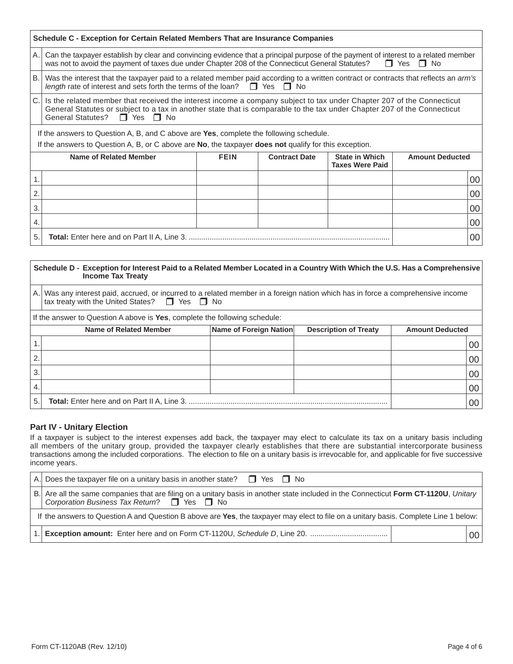|                | Schedule C - Exception for Certain Related Members That are Insurance Companies                                                                                                                                                                                                   |             |                      |                                                 |                        |  |  |  |
|----------------|-----------------------------------------------------------------------------------------------------------------------------------------------------------------------------------------------------------------------------------------------------------------------------------|-------------|----------------------|-------------------------------------------------|------------------------|--|--|--|
| $\mathsf{A}$ . | Can the taxpayer establish by clear and convincing evidence that a principal purpose of the payment of interest to a related member<br>was not to avoid the payment of taxes due under Chapter 208 of the Connecticut General Statutes?<br>$\Box$ Yes $\Box$ No                   |             |                      |                                                 |                        |  |  |  |
| B.             | Was the interest that the taxpayer paid to a related member paid according to a written contract or contracts that reflects an arm's<br>length rate of interest and sets forth the terms of the loan? $\Box$ Yes $\Box$ No                                                        |             |                      |                                                 |                        |  |  |  |
| IC.            | Is the related member that received the interest income a company subject to tax under Chapter 207 of the Connecticut<br>General Statutes or subject to a tax in another state that is comparable to the tax under Chapter 207 of the Connecticut<br>General Statutes? □ Yes □ No |             |                      |                                                 |                        |  |  |  |
|                | If the answers to Question A, B, and C above are Yes, complete the following schedule.                                                                                                                                                                                            |             |                      |                                                 |                        |  |  |  |
|                | If the answers to Question A, B, or C above are No, the taxpayer does not qualify for this exception.                                                                                                                                                                             |             |                      |                                                 |                        |  |  |  |
|                | Name of Related Member                                                                                                                                                                                                                                                            | <b>FEIN</b> | <b>Contract Date</b> | <b>State in Which</b><br><b>Taxes Were Paid</b> | <b>Amount Deducted</b> |  |  |  |
|                |                                                                                                                                                                                                                                                                                   |             |                      |                                                 | 00                     |  |  |  |
| $\overline{2}$ |                                                                                                                                                                                                                                                                                   |             |                      |                                                 | 00                     |  |  |  |
| 3.             |                                                                                                                                                                                                                                                                                   |             |                      |                                                 | 00                     |  |  |  |
| 4.             |                                                                                                                                                                                                                                                                                   |             |                      |                                                 | 00                     |  |  |  |
| 5.             |                                                                                                                                                                                                                                                                                   |             |                      |                                                 | 00                     |  |  |  |

### **Schedule D - Exception for Interest Paid to a Related Member Located in a Country With Which the U.S. Has a Comprehensive Income Tax Treaty Name of Related Member Name of Foreign Nation Description of Treaty Amount Deducted** 1. 2. 3. 4. 5. **Total:** Enter here and on Part II A, Line 3. ............................................................................................... 00 00 00 00 00 A. Was any interest paid, accrued, or incurred to a related member in a foreign nation which has in force a comprehensive income tax treaty with the United States?  $\Box$  Yes  $\Box$  No If the answer to Question A above is **Yes**, complete the following schedule:

## **Part IV - Unitary Election**

If a taxpayer is subject to the interest expenses add back, the taxpayer may elect to calculate its tax on a unitary basis including all members of the unitary group, provided the taxpayer clearly establishes that there are substantial intercorporate business transactions among the included corporations. The election to file on a unitary basis is irrevocable for, and applicable for five successive income years.

|    | A. Does the taxpayer file on a unitary basis in another state? $\Box$ Yes $\Box$ No                                                                                              |                 |  |  |  |  |
|----|----------------------------------------------------------------------------------------------------------------------------------------------------------------------------------|-----------------|--|--|--|--|
| B. | Are all the same companies that are filing on a unitary basis in another state included in the Connecticut Form CT-1120U, Unitary<br>Corporation Business Tax Return? □ Yes □ No |                 |  |  |  |  |
|    | If the answers to Question A and Question B above are Yes, the taxpayer may elect to file on a unitary basis. Complete Line 1 below:                                             |                 |  |  |  |  |
|    |                                                                                                                                                                                  | 00 <sub>1</sub> |  |  |  |  |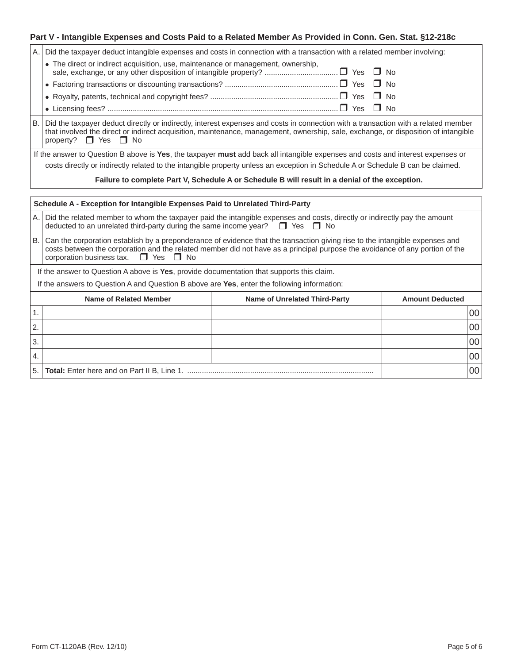## **Part V - Intangible Expenses and Costs Paid to a Related Member As Provided in Conn. Gen. Stat. §12-218c**

| • The direct or indirect acquisition, use, maintenance or management, ownership,<br>$\Box$<br>No.<br>No<br>Nο<br>No<br>B.<br>Did the taxpayer deduct directly or indirectly, interest expenses and costs in connection with a transaction with a related member<br>that involved the direct or indirect acquisition, maintenance, management, ownership, sale, exchange, or disposition of intangible<br>property? $\Box$ Yes $\Box$ No<br>If the answer to Question B above is Yes, the taxpayer must add back all intangible expenses and costs and interest expenses or<br>costs directly or indirectly related to the intangible property unless an exception in Schedule A or Schedule B can be claimed. |  |  |  |  |  |
|---------------------------------------------------------------------------------------------------------------------------------------------------------------------------------------------------------------------------------------------------------------------------------------------------------------------------------------------------------------------------------------------------------------------------------------------------------------------------------------------------------------------------------------------------------------------------------------------------------------------------------------------------------------------------------------------------------------|--|--|--|--|--|
|                                                                                                                                                                                                                                                                                                                                                                                                                                                                                                                                                                                                                                                                                                               |  |  |  |  |  |
|                                                                                                                                                                                                                                                                                                                                                                                                                                                                                                                                                                                                                                                                                                               |  |  |  |  |  |
|                                                                                                                                                                                                                                                                                                                                                                                                                                                                                                                                                                                                                                                                                                               |  |  |  |  |  |
|                                                                                                                                                                                                                                                                                                                                                                                                                                                                                                                                                                                                                                                                                                               |  |  |  |  |  |
|                                                                                                                                                                                                                                                                                                                                                                                                                                                                                                                                                                                                                                                                                                               |  |  |  |  |  |
|                                                                                                                                                                                                                                                                                                                                                                                                                                                                                                                                                                                                                                                                                                               |  |  |  |  |  |
|                                                                                                                                                                                                                                                                                                                                                                                                                                                                                                                                                                                                                                                                                                               |  |  |  |  |  |
| Failure to complete Part V, Schedule A or Schedule B will result in a denial of the exception.                                                                                                                                                                                                                                                                                                                                                                                                                                                                                                                                                                                                                |  |  |  |  |  |
| Schedule A - Exception for Intangible Expenses Paid to Unrelated Third-Party                                                                                                                                                                                                                                                                                                                                                                                                                                                                                                                                                                                                                                  |  |  |  |  |  |
| Did the related member to whom the taxpayer paid the intangible expenses and costs, directly or indirectly pay the amount<br>А.<br>deducted to an unrelated third-party during the same income year? $\Box$ Yes $\Box$ No                                                                                                                                                                                                                                                                                                                                                                                                                                                                                     |  |  |  |  |  |
| Can the corporation establish by a preponderance of evidence that the transaction giving rise to the intangible expenses and<br>В.<br>costs between the corporation and the related member did not have as a principal purpose the avoidance of any portion of the<br>corporation business tax.<br>$\Box$ Yes $\Box$ No                                                                                                                                                                                                                                                                                                                                                                                       |  |  |  |  |  |
| If the answer to Question A above is Yes, provide documentation that supports this claim.                                                                                                                                                                                                                                                                                                                                                                                                                                                                                                                                                                                                                     |  |  |  |  |  |
| If the answers to Question A and Question B above are Yes, enter the following information:                                                                                                                                                                                                                                                                                                                                                                                                                                                                                                                                                                                                                   |  |  |  |  |  |
| Name of Related Member<br><b>Name of Unrelated Third-Party</b><br><b>Amount Deducted</b>                                                                                                                                                                                                                                                                                                                                                                                                                                                                                                                                                                                                                      |  |  |  |  |  |

|                  | <b>Name of Related Member</b> | <b>Name of Unrelated Third-Party</b> | <b>Amount Deducted</b> |                 |
|------------------|-------------------------------|--------------------------------------|------------------------|-----------------|
|                  |                               |                                      |                        | 00              |
| $^{\prime}$ 2.   |                               |                                      |                        | 00 <sub>1</sub> |
| <sup>1</sup> 3.  |                               |                                      |                        | 00 <sub>1</sub> |
| $\overline{4}$ . |                               |                                      |                        | 00 <sub>1</sub> |
|                  |                               |                                      |                        | 00 <sup>1</sup> |